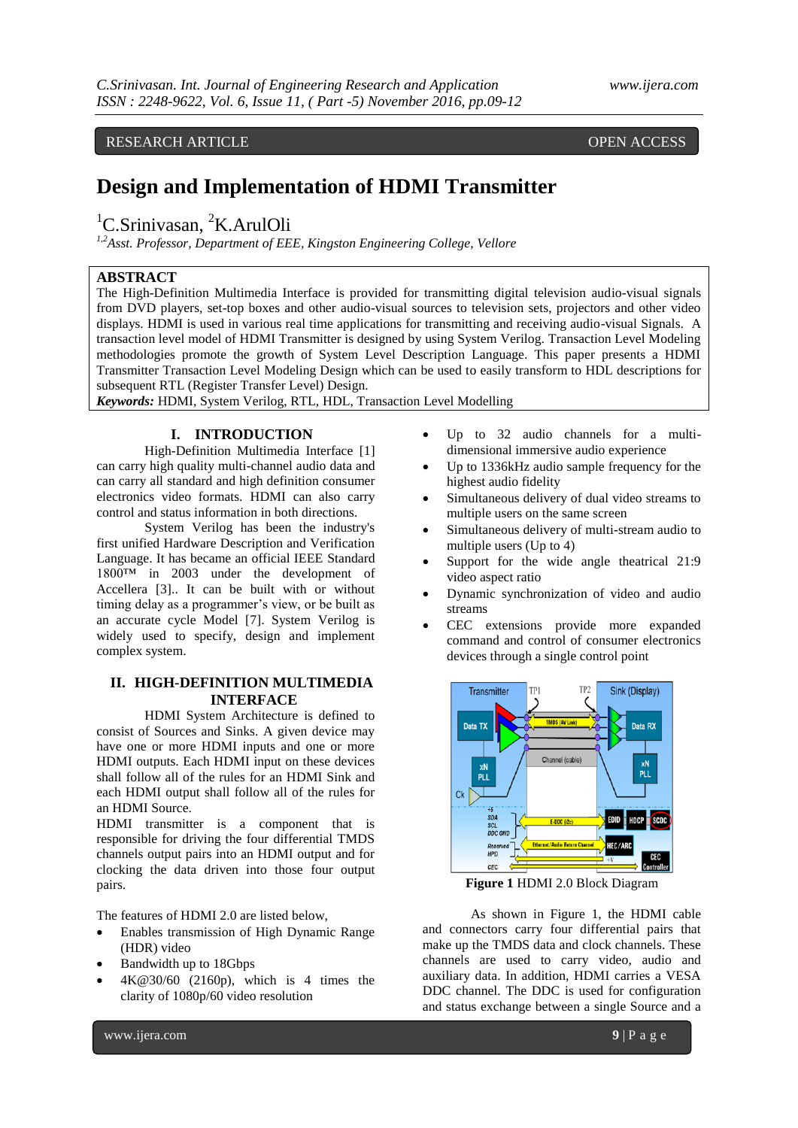RESEARCH ARTICLE OPEN ACCESS

# **Design and Implementation of HDMI Transmitter**

<sup>1</sup>C.Srinivasan, <sup>2</sup>K.ArulOli

*1,2Asst. Professor, Department of EEE, Kingston Engineering College, Vellore*

### **ABSTRACT**

The High-Definition Multimedia Interface is provided for transmitting digital television audio-visual signals from DVD players, set-top boxes and other audio-visual sources to television sets, projectors and other video displays. HDMI is used in various real time applications for transmitting and receiving audio-visual Signals. A transaction level model of HDMI Transmitter is designed by using System Verilog. Transaction Level Modeling methodologies promote the growth of System Level Description Language. This paper presents a HDMI Transmitter Transaction Level Modeling Design which can be used to easily transform to HDL descriptions for subsequent RTL (Register Transfer Level) Design.

*Keywords:* HDMI, System Verilog, RTL, HDL, Transaction Level Modelling

# **I. INTRODUCTION**

High-Definition Multimedia Interface [1] can carry high quality multi-channel audio data and can carry all standard and high definition consumer electronics video formats. HDMI can also carry control and status information in both directions.

System Verilog has been the industry's first unified Hardware Description and Verification Language. It has became an official IEEE Standard 1800™ in 2003 under the development of Accellera [3].. It can be built with or without timing delay as a programmer's view, or be built as an accurate cycle Model [7]. System Verilog is widely used to specify, design and implement complex system.

# **II. HIGH-DEFINITION MULTIMEDIA INTERFACE**

HDMI System Architecture is defined to consist of Sources and Sinks. A given device may have one or more HDMI inputs and one or more HDMI outputs. Each HDMI input on these devices shall follow all of the rules for an HDMI Sink and each HDMI output shall follow all of the rules for an HDMI Source.

HDMI transmitter is a component that is responsible for driving the four differential TMDS channels output pairs into an HDMI output and for clocking the data driven into those four output pairs.

The features of HDMI 2.0 are listed below,

- Enables transmission of High Dynamic Range (HDR) video
- Bandwidth up to 18Gbps
- 4K@30/60 (2160p), which is 4 times the clarity of 1080p/60 video resolution
- Up to 32 audio channels for a multidimensional immersive audio experience
- Up to 1336kHz audio sample frequency for the highest audio fidelity
- Simultaneous delivery of dual video streams to multiple users on the same screen
- Simultaneous delivery of multi-stream audio to multiple users (Up to 4)
- Support for the wide angle theatrical 21:9 video aspect ratio
- Dynamic synchronization of video and audio streams
- CEC extensions provide more expanded command and control of consumer electronics devices through a single control point



**Figure 1** HDMI 2.0 Block Diagram

As shown in Figure 1, the HDMI cable and connectors carry four differential pairs that make up the TMDS data and clock channels. These channels are used to carry video, audio and auxiliary data. In addition, HDMI carries a VESA DDC channel. The DDC is used for configuration and status exchange between a single Source and a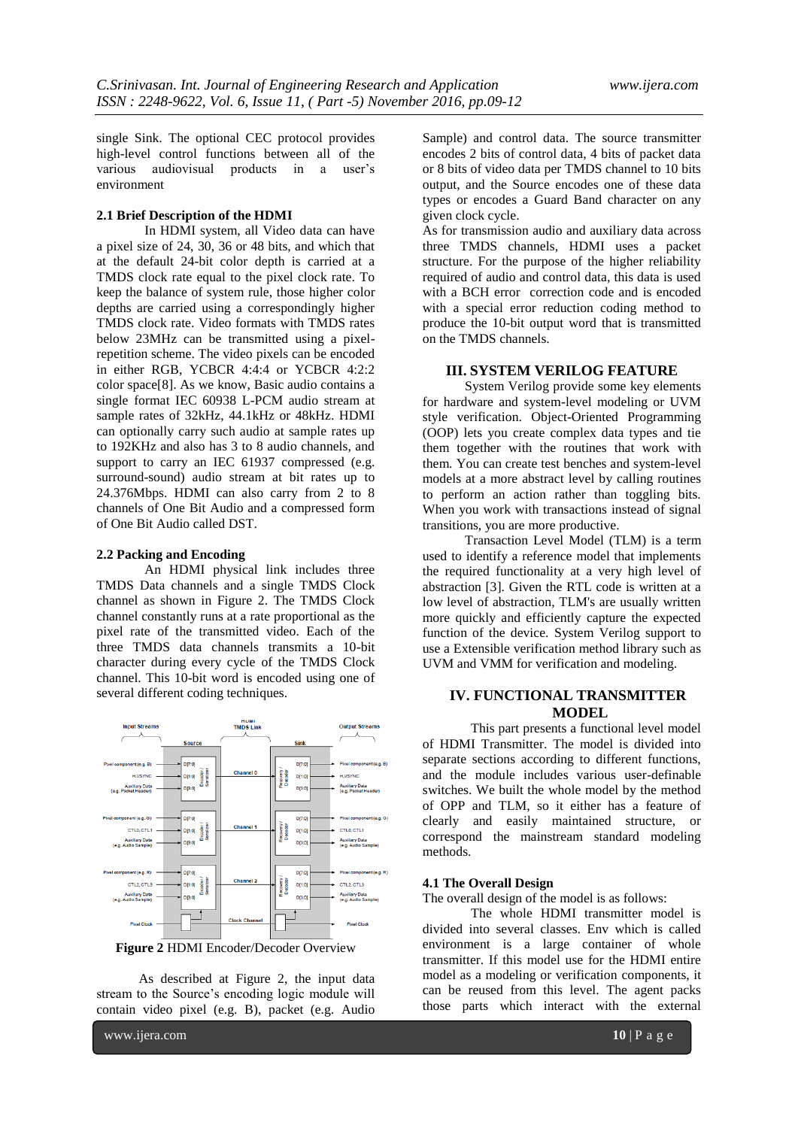single Sink. The optional CEC protocol provides high-level control functions between all of the various audiovisual products in a user's environment

#### **2.1 Brief Description of the HDMI**

In HDMI system, all Video data can have a pixel size of 24, 30, 36 or 48 bits, and which that at the default 24-bit color depth is carried at a TMDS clock rate equal to the pixel clock rate. To keep the balance of system rule, those higher color depths are carried using a correspondingly higher TMDS clock rate. Video formats with TMDS rates below 23MHz can be transmitted using a pixelrepetition scheme. The video pixels can be encoded in either RGB, YCBCR 4:4:4 or YCBCR 4:2:2 color space[8]. As we know, Basic audio contains a single format IEC 60938 L-PCM audio stream at sample rates of 32kHz, 44.1kHz or 48kHz. HDMI can optionally carry such audio at sample rates up to 192KHz and also has 3 to 8 audio channels, and support to carry an IEC 61937 compressed (e.g. surround-sound) audio stream at bit rates up to 24.376Mbps. HDMI can also carry from 2 to 8 channels of One Bit Audio and a compressed form of One Bit Audio called DST.

#### **2.2 Packing and Encoding**

An HDMI physical link includes three TMDS Data channels and a single TMDS Clock channel as shown in Figure 2. The TMDS Clock channel constantly runs at a rate proportional as the pixel rate of the transmitted video. Each of the three TMDS data channels transmits a 10-bit character during every cycle of the TMDS Clock channel. This 10-bit word is encoded using one of several different coding techniques.



**Figure 2** HDMI Encoder/Decoder Overview

As described at Figure 2, the input data stream to the Source's encoding logic module will contain video pixel (e.g. B), packet (e.g. Audio

Sample) and control data. The source transmitter encodes 2 bits of control data, 4 bits of packet data or 8 bits of video data per TMDS channel to 10 bits output, and the Source encodes one of these data types or encodes a Guard Band character on any given clock cycle.

As for transmission audio and auxiliary data across three TMDS channels, HDMI uses a packet structure. For the purpose of the higher reliability required of audio and control data, this data is used with a BCH error correction code and is encoded with a special error reduction coding method to produce the 10-bit output word that is transmitted on the TMDS channels.

#### **III. SYSTEM VERILOG FEATURE**

System Verilog provide some key elements for hardware and system-level modeling or UVM style verification. Object-Oriented Programming (OOP) lets you create complex data types and tie them together with the routines that work with them. You can create test benches and system-level models at a more abstract level by calling routines to perform an action rather than toggling bits. When you work with transactions instead of signal transitions, you are more productive.

Transaction Level Model (TLM) is a term used to identify a reference model that implements the required functionality at a very high level of abstraction [3]. Given the RTL code is written at a low level of abstraction, TLM's are usually written more quickly and efficiently capture the expected function of the device. System Verilog support to use a Extensible verification method library such as UVM and VMM for verification and modeling.

# **IV. FUNCTIONAL TRANSMITTER MODEL**

This part presents a functional level model of HDMI Transmitter. The model is divided into separate sections according to different functions, and the module includes various user-definable switches. We built the whole model by the method of OPP and TLM, so it either has a feature of clearly and easily maintained structure, or correspond the mainstream standard modeling methods.

#### **4.1 The Overall Design**

The overall design of the model is as follows:

The whole HDMI transmitter model is divided into several classes. Env which is called environment is a large container of whole transmitter. If this model use for the HDMI entire model as a modeling or verification components, it can be reused from this level. The agent packs those parts which interact with the external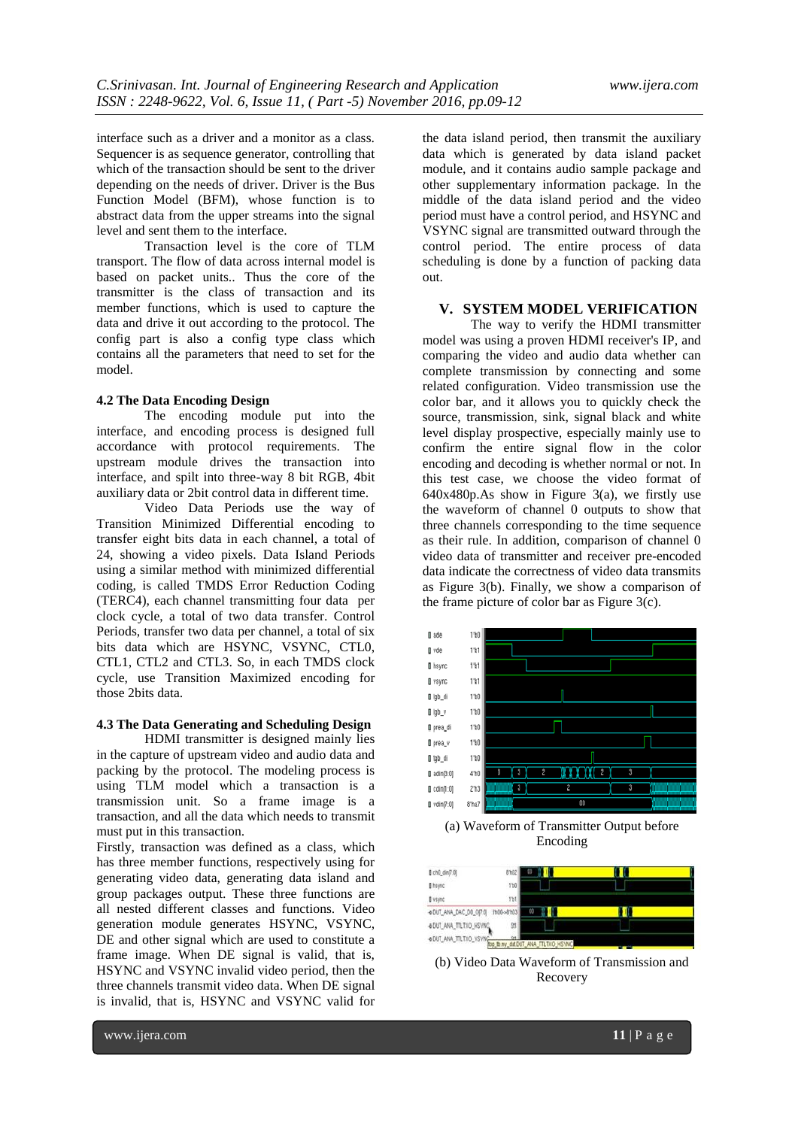interface such as a driver and a monitor as a class. Sequencer is as sequence generator, controlling that which of the transaction should be sent to the driver depending on the needs of driver. Driver is the Bus Function Model (BFM), whose function is to abstract data from the upper streams into the signal level and sent them to the interface.

Transaction level is the core of TLM transport. The flow of data across internal model is based on packet units.. Thus the core of the transmitter is the class of transaction and its member functions, which is used to capture the data and drive it out according to the protocol. The config part is also a config type class which contains all the parameters that need to set for the model.

#### **4.2 The Data Encoding Design**

The encoding module put into the interface, and encoding process is designed full accordance with protocol requirements. The upstream module drives the transaction into interface, and spilt into three-way 8 bit RGB, 4bit auxiliary data or 2bit control data in different time.

Video Data Periods use the way of Transition Minimized Differential encoding to transfer eight bits data in each channel, a total of 24, showing a video pixels. Data Island Periods using a similar method with minimized differential coding, is called TMDS Error Reduction Coding (TERC4), each channel transmitting four data per clock cycle, a total of two data transfer. Control Periods, transfer two data per channel, a total of six bits data which are HSYNC, VSYNC, CTL0, CTL1, CTL2 and CTL3. So, in each TMDS clock cycle, use Transition Maximized encoding for those 2bits data.

# **4.3 The Data Generating and Scheduling Design**

HDMI transmitter is designed mainly lies in the capture of upstream video and audio data and packing by the protocol. The modeling process is using TLM model which a transaction is a transmission unit. So a frame image is a transaction, and all the data which needs to transmit must put in this transaction.

Firstly, transaction was defined as a class, which has three member functions, respectively using for generating video data, generating data island and group packages output. These three functions are all nested different classes and functions. Video generation module generates HSYNC, VSYNC, DE and other signal which are used to constitute a frame image. When DE signal is valid, that is, HSYNC and VSYNC invalid video period, then the three channels transmit video data. When DE signal is invalid, that is, HSYNC and VSYNC valid for

the data island period, then transmit the auxiliary data which is generated by data island packet module, and it contains audio sample package and other supplementary information package. In the middle of the data island period and the video period must have a control period, and HSYNC and VSYNC signal are transmitted outward through the control period. The entire process of data scheduling is done by a function of packing data out.

#### **V. SYSTEM MODEL VERIFICATION**

The way to verify the HDMI transmitter model was using a proven HDMI receiver's IP, and comparing the video and audio data whether can complete transmission by connecting and some related configuration. Video transmission use the color bar, and it allows you to quickly check the source, transmission, sink, signal black and white level display prospective, especially mainly use to confirm the entire signal flow in the color encoding and decoding is whether normal or not. In this test case, we choose the video format of 640x480p.As show in Figure 3(a), we firstly use the waveform of channel 0 outputs to show that three channels corresponding to the time sequence as their rule. In addition, comparison of channel 0 video data of transmitter and receiver pre-encoded data indicate the correctness of video data transmits as Figure 3(b). Finally, we show a comparison of the frame picture of color bar as Figure 3(c).



(a) Waveform of Transmitter Output before Encoding



(b) Video Data Waveform of Transmission and Recovery